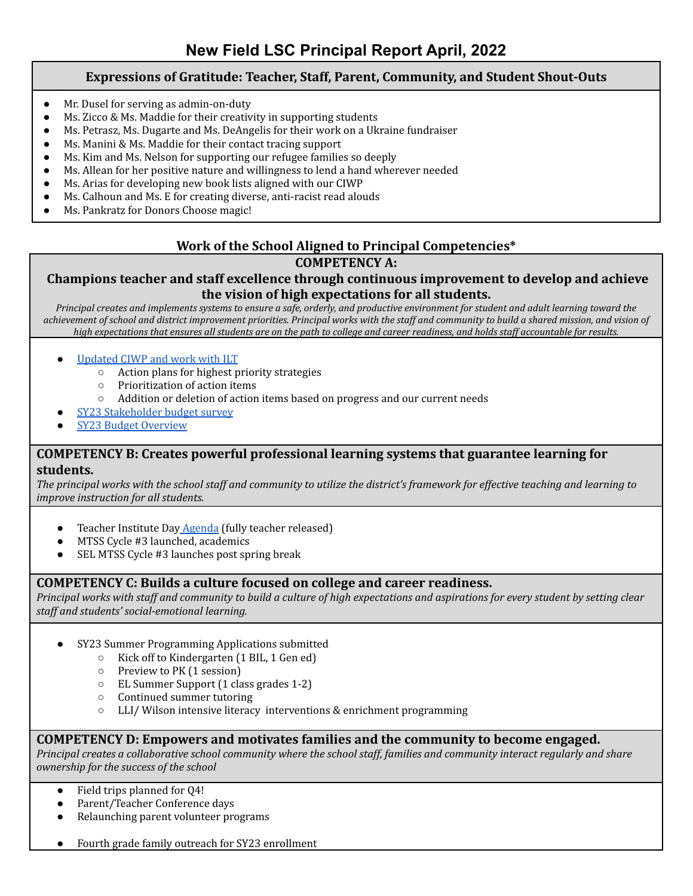### **Expressions of Gratitude: Teacher, Staff, Parent, Community, and Student Shout-Outs**

- Mr. Dusel for serving as admin-on-duty
- Ms. Zicco & Ms. Maddie for their creativity in supporting students
- Ms. Petrasz, Ms. Dugarte and Ms. DeAngelis for their work on a Ukraine fundraiser
- Ms. Manini & Ms. Maddie for their contact tracing support
- Ms. Kim and Ms. Nelson for supporting our refugee families so deeply
- Ms. Allean for her positive nature and willingness to lend a hand wherever needed
- Ms. Arias for developing new book lists aligned with our CIWP
- Ms. Calhoun and Ms. E for creating diverse, anti-racist read alouds
- Ms. Pankratz for Donors Choose magic!

### **Work of the School Aligned to Principal Competencies\* COMPETENCY A:**

# **Champions teacher and staff excellence through continuous improvement to develop and achieve the vision of high expectations for all students.**

*Principal creates and implements systems to ensure a safe, orderly, and productive environment for student and adult learning toward the achievement of school and district improvement priorities. Principal works with the staff and community to build a shared mission, and vision of high expectations that ensures all students are on the path to college and career readiness, and holds staff accountable for results.*

#### [Updated](https://docs.google.com/spreadsheets/d/1PBQt-bgXR77qfLfLo8sh_m5SI-ZPc9BjgLHTT8UOdnQ/edit#gid=0) CIWP and work with ILT

- Action plans for highest priority strategies
- Prioritization of action items
- Addition or deletion of action items based on progress and our current needs
- SY23 [Stakeholder](https://docs.google.com/spreadsheets/d/1IrLyflqGGIPJ8BgWz5E9RsCjZRJ6NZxVWsIVXUt36Is/edit#gid=1424813357) budget survey
- **SY23 Budget [Overview](https://docs.google.com/document/d/1RCv14e7kV8IMVmj8zogTJuuWQA4HjJh_mzigWtf1an0/edit)**

#### **COMPETENCY B: Creates powerful professional learning systems that guarantee learning for students.**

The principal works with the school staff and community to utilize the district's framework for effective teaching and learning to *improve instruction for all students.*

- Teacher Institute Day [Agenda](https://docs.google.com/document/d/1R7VwRGww_1J3p01DzjTNE-A_8BaF8_i0Y-nECqjk6Dk/edit) (fully teacher released)
- MTSS Cycle #3 launched, academics
- SEL MTSS Cycle #3 launches post spring break

#### **COMPETENCY C: Builds a culture focused on college and career readiness.**

Principal works with staff and community to build a culture of high expectations and aspirations for every student by setting clear *staf and students' social-emotional learning.*

- SY23 Summer Programming Applications submitted
	- Kick off to Kindergarten (1 BIL, 1 Gen ed)
	- Preview to PK (1 session)
	- EL Summer Support (1 class grades 1-2)
	- Continued summer tutoring
	- LLI/ Wilson intensive literacy interventions & enrichment programming

#### **COMPETENCY D: Empowers and motivates families and the community to become engaged.**

Principal creates a collaborative school community where the school staff, families and community interact regularly and share *ownership for the success of the school*

- Field trips planned for Q4!
- Parent/Teacher Conference days
- Relaunching parent volunteer programs
- Fourth grade family outreach for SY23 enrollment